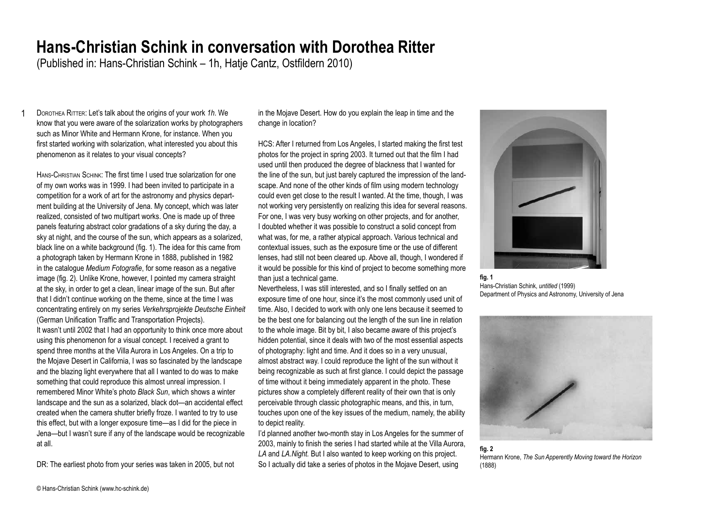## **Hans-Christian Schink in conversation with Dorothea Ritter**

(Published in: Hans-Christian Schink – 1h, Hatje Cantz, Ostfildern 2010)

1 Dorothea Ritter: Let's talk about the origins of your work *1h*. We know that you were aware of the solarization works by photographers such as Minor White and Hermann Krone, for instance. When you first started working with solarization, what interested you about this phenomenon as it relates to your visual concepts?

Hans-Christian Schink: The first time I used true solarization for one of my own works was in 1999. I had been invited to participate in a competition for a work of art for the astronomy and physics department building at the University of Jena. My concept, which was later realized, consisted of two multipart works. One is made up of three panels featuring abstract color gradations of a sky during the day, a sky at night, and the course of the sun, which appears as a solarized, black line on a white background (fig. 1). The idea for this came from a photograph taken by Hermann Krone in 1888, published in 1982 in the catalogue *Medium Fotografie*, for some reason as a negative image (fig. 2). Unlike Krone, however, I pointed my camera straight at the sky, in order to get a clean, linear image of the sun. But after that I didn't continue working on the theme, since at the time I was concentrating entirely on my series *Verkehrsprojekte Deutsche Einheit*  (German Unification Traffic and Transportation Projects). It wasn't until 2002 that I had an opportunity to think once more about using this phenomenon for a visual concept. I received a grant to spend three months at the Villa Aurora in Los Angeles. On a trip to the Mojave Desert in California, I was so fascinated by the landscape and the blazing light everywhere that all I wanted to do was to make something that could reproduce this almost unreal impression. I remembered Minor White's photo *Black Sun*, which shows a winter landscape and the sun as a solarized, black dot—an accidental effect created when the camera shutter briefly froze. I wanted to try to use this effect, but with a longer exposure time—as I did for the piece in Jena—but I wasn't sure if any of the landscape would be recognizable at all.

DR: The earliest photo from your series was taken in 2005, but not

in the Mojave Desert. How do you explain the leap in time and the change in location?

HCS: After I returned from Los Angeles, I started making the first test photos for the project in spring 2003. It turned out that the film I had used until then produced the degree of blackness that I wanted for the line of the sun, but just barely captured the impression of the landscape. And none of the other kinds of film using modern technology could even get close to the result I wanted. At the time, though, I was not working very persistently on realizing this idea for several reasons. For one, I was very busy working on other projects, and for another, I doubted whether it was possible to construct a solid concept from what was, for me, a rather atypical approach. Various technical and contextual issues, such as the exposure time or the use of different lenses, had still not been cleared up. Above all, though, I wondered if it would be possible for this kind of project to become something more than just a technical game.

Nevertheless, I was still interested, and so I finally settled on an exposure time of one hour, since it's the most commonly used unit of time. Also, I decided to work with only one lens because it seemed to be the best one for balancing out the length of the sun line in relation to the whole image. Bit by bit, I also became aware of this project's hidden potential, since it deals with two of the most essential aspects of photography: light and time. And it does so in a very unusual, almost abstract way. I could reproduce the light of the sun without it being recognizable as such at first glance. I could depict the passage of time without it being immediately apparent in the photo. These pictures show a completely different reality of their own that is only perceivable through classic photographic means, and this, in turn, touches upon one of the key issues of the medium, namely, the ability to depict reality.

I'd planned another two-month stay in Los Angeles for the summer of 2003, mainly to finish the series I had started while at the Villa Aurora, *LA* and *LA.Night.* But I also wanted to keep working on this project. So I actually did take a series of photos in the Mojave Desert, using



**fig. 1** Hans-Christian Schink, *untitled* (1999) Department of Physics and Astronomy, University of Jena



**fig. 2** Hermann Krone, *The Sun Apperently Moving toward the Horizon* (1888)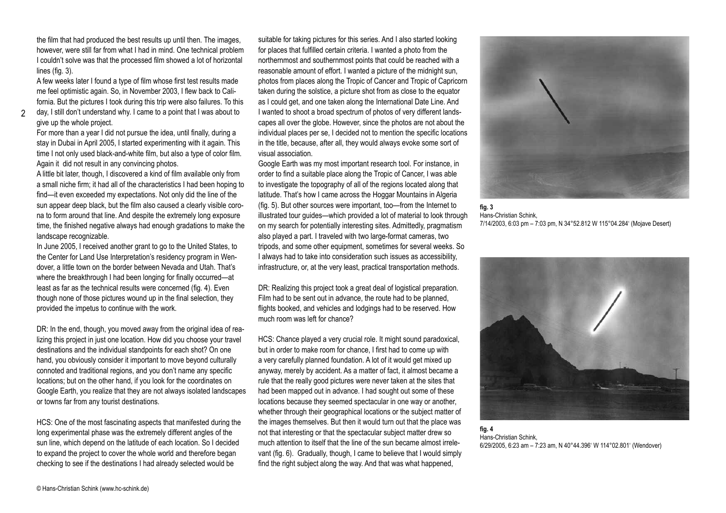the film that had produced the best results up until then. The images, however, were still far from what I had in mind. One technical problem I couldn't solve was that the processed film showed a lot of horizontal lines (fig. 3).

A few weeks later I found a type of film whose first test results made me feel optimistic again. So, in November 2003, I flew back to California. But the pictures I took during this trip were also failures. To this

 $\mathfrak{D}$ day, I still don't understand why. I came to a point that I was about to give up the whole project.

For more than a year I did not pursue the idea, until finally, during a stay in Dubai in April 2005, I started experimenting with it again. This time I not only used black-and-white film, but also a type of color film. Again it did not result in any convincing photos.

A little bit later, though, I discovered a kind of film available only from a small niche firm; it had all of the characteristics I had been hoping to find—it even exceeded my expectations. Not only did the line of the sun appear deep black, but the film also caused a clearly visible corona to form around that line. And despite the extremely long exposure time, the finished negative always had enough gradations to make the landscape recognizable.

In June 2005, I received another grant to go to the United States, to the Center for Land Use Interpretation's residency program in Wendover, a little town on the border between Nevada and Utah. That's where the breakthrough I had been longing for finally occurred—at least as far as the technical results were concerned (fig. 4). Even though none of those pictures wound up in the final selection, they provided the impetus to continue with the work.

DR: In the end, though, you moved away from the original idea of realizing this project in just one location. How did you choose your travel destinations and the individual standpoints for each shot? On one hand, you obviously consider it important to move beyond culturally connoted and traditional regions, and you don't name any specific locations; but on the other hand, if you look for the coordinates on Google Earth, you realize that they are not always isolated landscapes or towns far from any tourist destinations.

HCS: One of the most fascinating aspects that manifested during the long experimental phase was the extremely different angles of the sun line, which depend on the latitude of each location. So I decided to expand the project to cover the whole world and therefore began checking to see if the destinations I had already selected would be

suitable for taking pictures for this series. And I also started looking for places that fulfilled certain criteria. I wanted a photo from the northernmost and southernmost points that could be reached with a reasonable amount of effort. I wanted a picture of the midnight sun, photos from places along the Tropic of Cancer and Tropic of Capricorn taken during the solstice, a picture shot from as close to the equator as I could get, and one taken along the International Date Line. And I wanted to shoot a broad spectrum of photos of very different landscapes all over the globe. However, since the photos are not about the individual places per se, I decided not to mention the specific locations in the title, because, after all, they would always evoke some sort of visual association.

Google Earth was my most important research tool. For instance, in order to find a suitable place along the Tropic of Cancer, I was able to investigate the topography of all of the regions located along that latitude. That's how I came across the Hoggar Mountains in Algeria (fig. 5). But other sources were important, too—from the Internet to illustrated tour guides—which provided a lot of material to look through on my search for potentially interesting sites. Admittedly, pragmatism also played a part. I traveled with two large-format cameras, two tripods, and some other equipment, sometimes for several weeks. So I always had to take into consideration such issues as accessibility, infrastructure, or, at the very least, practical transportation methods.

DR: Realizing this project took a great deal of logistical preparation. Film had to be sent out in advance, the route had to be planned, flights booked, and vehicles and lodgings had to be reserved. How much room was left for chance?

HCS: Chance played a very crucial role. It might sound paradoxical, but in order to make room for chance, I first had to come up with a very carefully planned foundation. A lot of it would get mixed up anyway, merely by accident. As a matter of fact, it almost became a rule that the really good pictures were never taken at the sites that had been mapped out in advance. I had sought out some of these locations because they seemed spectacular in one way or another, whether through their geographical locations or the subject matter of the images themselves. But then it would turn out that the place was not that interesting or that the spectacular subject matter drew so much attention to itself that the line of the sun became almost irrelevant (fig. 6). Gradually, though, I came to believe that I would simply find the right subject along the way. And that was what happened,



**fig. 3** Hans-Christian Schink, 7/14/2003, 6:03 pm – 7:03 pm, N 34°52.812 W 115°04.284' (Mojave Desert)



**fig. 4** Hans-Christian Schink, 6/29/2005, 6:23 am – 7:23 am, N 40°44.396' W 114°02.801' (Wendover)